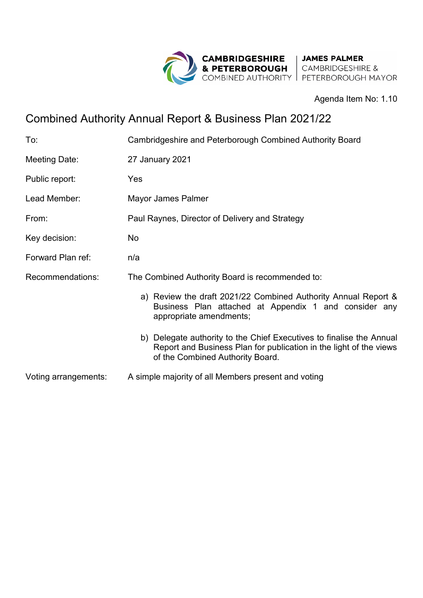

Agenda Item No: 1.10

## Combined Authority Annual Report & Business Plan 2021/22

| To:                  | Cambridgeshire and Peterborough Combined Authority Board                                                                                                                       |
|----------------------|--------------------------------------------------------------------------------------------------------------------------------------------------------------------------------|
| Meeting Date:        | 27 January 2021                                                                                                                                                                |
| Public report:       | Yes                                                                                                                                                                            |
| Lead Member:         | Mayor James Palmer                                                                                                                                                             |
| From:                | Paul Raynes, Director of Delivery and Strategy                                                                                                                                 |
| Key decision:        | <b>No</b>                                                                                                                                                                      |
| Forward Plan ref:    | n/a                                                                                                                                                                            |
| Recommendations:     | The Combined Authority Board is recommended to:                                                                                                                                |
|                      | a) Review the draft 2021/22 Combined Authority Annual Report &<br>Business Plan attached at Appendix 1 and consider any<br>appropriate amendments;                             |
|                      | b) Delegate authority to the Chief Executives to finalise the Annual<br>Report and Business Plan for publication in the light of the views<br>of the Combined Authority Board. |
| Voting arrangements: | A simple majority of all Members present and voting                                                                                                                            |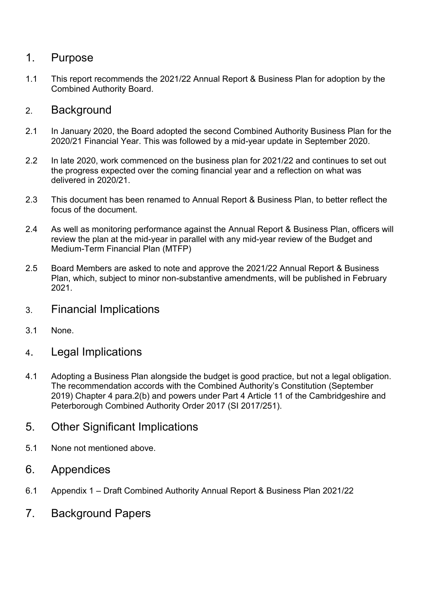## 1. Purpose

1.1 This report recommends the 2021/22 Annual Report & Business Plan for adoption by the Combined Authority Board.

## 2. Background

- 2.1 In January 2020, the Board adopted the second Combined Authority Business Plan for the 2020/21 Financial Year. This was followed by a mid-year update in September 2020.
- 2.2 In late 2020, work commenced on the business plan for 2021/22 and continues to set out the progress expected over the coming financial year and a reflection on what was delivered in 2020/21.
- 2.3 This document has been renamed to Annual Report & Business Plan, to better reflect the focus of the document.
- 2.4 As well as monitoring performance against the Annual Report & Business Plan, officers will review the plan at the mid-year in parallel with any mid-year review of the Budget and Medium-Term Financial Plan (MTFP)
- 2.5 Board Members are asked to note and approve the 2021/22 Annual Report & Business Plan, which, subject to minor non-substantive amendments, will be published in February 2021.
- 3. Financial Implications
- 3.1 None.
- 4. Legal Implications
- 4.1 Adopting a Business Plan alongside the budget is good practice, but not a legal obligation. The recommendation accords with the Combined Authority's Constitution (September 2019) Chapter 4 para.2(b) and powers under Part 4 Article 11 of the Cambridgeshire and Peterborough Combined Authority Order 2017 (SI 2017/251).
- 5. Other Significant Implications
- 5.1 None not mentioned above.
- 6. Appendices
- 6.1 Appendix 1 Draft Combined Authority Annual Report & Business Plan 2021/22
- 7. Background Papers